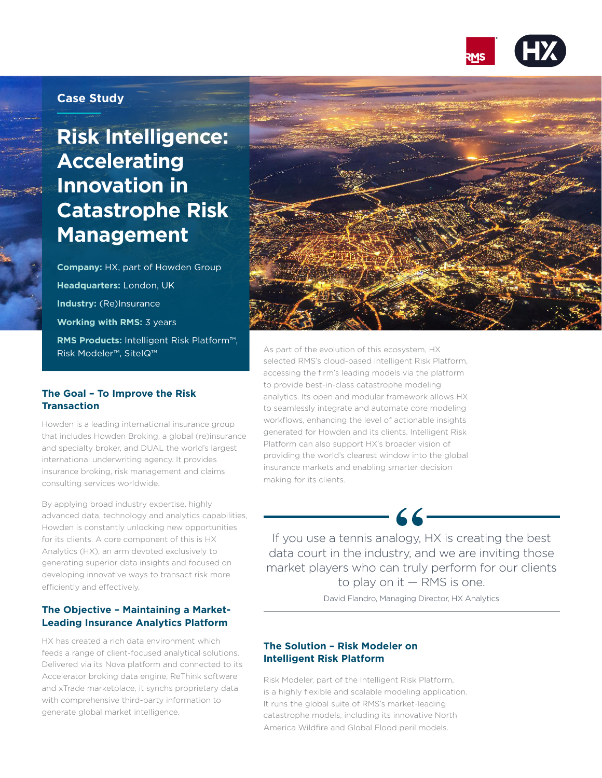

## **Case Study**

# **Risk Intelligence: Accelerating Innovation in Catastrophe Risk Management**

**Company:** HX, part of Howden Group **Headquarters:** London, UK **Industry:** (Re)Insurance **Working with RMS:** 3 years **RMS Products:** Intelligent Risk Platform™, Risk Modeler™, SiteIQ™

#### **The Goal – To Improve the Risk Transaction**

Howden is a leading international insurance group that includes Howden Broking, a global (re)insurance and specialty broker, and DUAL the world's largest international underwriting agency. It provides insurance broking, risk management and claims consulting services worldwide.

By applying broad industry expertise, highly advanced data, technology and analytics capabilities, Howden is constantly unlocking new opportunities for its clients. A core component of this is HX Analytics (HX), an arm devoted exclusively to generating superior data insights and focused on developing innovative ways to transact risk more efficiently and effectively.

### **The Objective – Maintaining a Market-Leading Insurance Analytics Platform**

HX has created a rich data environment which feeds a range of client-focused analytical solutions. Delivered via its Nova platform and connected to its Accelerator broking data engine, ReThink software and xTrade marketplace, it synchs proprietary data with comprehensive third-party information to generate global market intelligence.



As part of the evolution of this ecosystem, HX selected RMS's cloud-based Intelligent Risk Platform, accessing the firm's leading models via the platform to provide best-in-class catastrophe modeling analytics. Its open and modular framework allows HX to seamlessly integrate and automate core modeling workflows, enhancing the level of actionable insights generated for Howden and its clients. Intelligent Risk Platform can also support HX's broader vision of providing the world's clearest window into the global insurance markets and enabling smarter decision making for its clients.

If you use a tennis analogy, HX is creating the best data court in the industry, and we are inviting those market players who can truly perform for our clients to play on it — RMS is one.

 $-66-$ 

David Flandro, Managing Director, HX Analytics

#### **The Solution – Risk Modeler on Intelligent Risk Platform**

Risk Modeler, part of the Intelligent Risk Platform, is a highly flexible and scalable modeling application. It runs the global suite of RMS's market-leading catastrophe models, including its innovative North America Wildfire and Global Flood peril models.